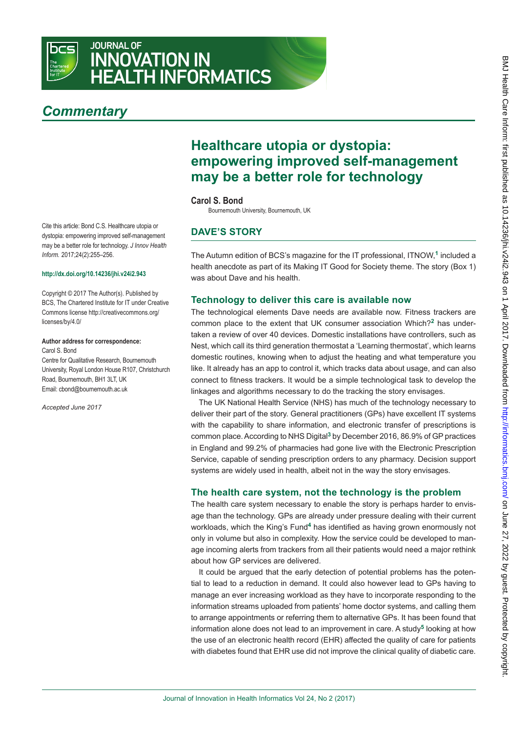

# JOURNAL OF INNOVATION IN HEALTH INFORMATICS

# *Commentary*

Cite this article: Bond C.S. Healthcare utopia or dystopia: empowering improved self-management may be a better role for technology. *J Innov Health Inform.* 2017;24(2):255–256.

#### **<http://dx.doi.org/10.14236/jhi.v24i2.943>**

[Copyright © 2017 The Author\(s\). Published by](http://creativecommons.org/licenses/by/4.0/)  [BCS, The Chartered Institute for IT under Creative](http://creativecommons.org/licenses/by/4.0/)  [Commons license http://creativecommons.org/](http://creativecommons.org/licenses/by/4.0/) [licenses/by/4.0/](http://creativecommons.org/licenses/by/4.0/)

#### **Author address for correspondence:** Carol S. Bond

Centre for Qualitative Research, Bournemouth University, Royal London House R107, Christchurch Road, Bournemouth, BH1 3LT, UK Email: cbond@bournemouth.ac.uk

*Accepted June 2017*

## **Healthcare utopia or dystopia: empowering improved self-management may be a better role for technology**

#### **Carol S. Bond**

Bournemouth University, Bournemouth, UK

## **Dave's story**

The Autumn edition of BCS's magazine for the IT professional, ITNOW,**1** included a health anecdote as part of its Making IT Good for Society theme. The story (Box 1) was about Dave and his health.

#### **Technology to deliver this care is available now**

The technological elements Dave needs are available now. Fitness trackers are common place to the extent that UK consumer association Which?**2** has undertaken a review of over 40 devices. Domestic installations have controllers, such as Nest, which call its third generation thermostat a 'Learning thermostat', which learns domestic routines, knowing when to adjust the heating and what temperature you like. It already has an app to control it, which tracks data about usage, and can also connect to fitness trackers. It would be a simple technological task to develop the linkages and algorithms necessary to do the tracking the story envisages.

The UK National Health Service (NHS) has much of the technology necessary to deliver their part of the story. General practitioners (GPs) have excellent IT systems with the capability to share information, and electronic transfer of prescriptions is common place. According to NHS Digital**3** by December 2016, 86.9% of GP practices in England and 99.2% of pharmacies had gone live with the Electronic Prescription Service, capable of sending prescription orders to any pharmacy. Decision support systems are widely used in health, albeit not in the way the story envisages.

#### **The health care system, not the technology is the problem**

The health care system necessary to enable the story is perhaps harder to envisage than the technology. GPs are already under pressure dealing with their current workloads, which the King's Fund**4** has identified as having grown enormously not only in volume but also in complexity. How the service could be developed to manage incoming alerts from trackers from all their patients would need a major rethink about how GP services are delivered.

It could be argued that the early detection of potential problems has the potential to lead to a reduction in demand. It could also however lead to GPs having to manage an ever increasing workload as they have to incorporate responding to the information streams uploaded from patients' home doctor systems, and calling them to arrange appointments or referring them to alternative GPs. It has been found that information alone does not lead to an improvement in care. A study**5** looking at how the use of an electronic health record (EHR) affected the quality of care for patients with diabetes found that EHR use did not improve the clinical quality of diabetic care.